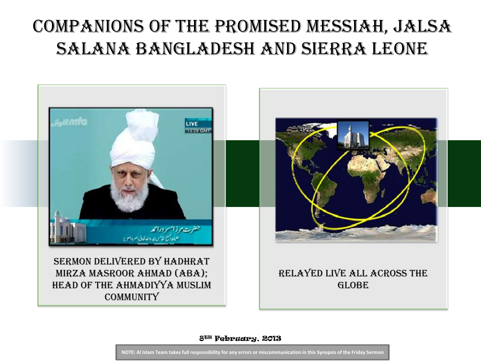## Companions of The Promised Messiah, Jalsa Salana Bangladesh and Sierra Leone



8TH February, 2013

**NOTE: Al Islam Team takes full responsibility for any errors or miscommunication in this Synopsis of the Friday Sermon**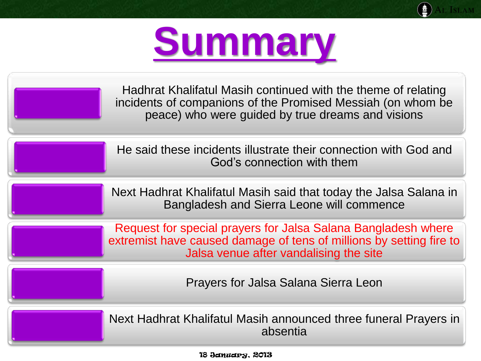

Hadhrat Khalifatul Masih continued with the theme of relating incidents of companions of the Promised Messiah (on whom be peace) who were guided by true dreams and visions

He said these incidents illustrate their connection with God and God's connection with them

Next Hadhrat Khalifatul Masih said that today the Jalsa Salana in Bangladesh and Sierra Leone will commence

Request for special prayers for Jalsa Salana Bangladesh where extremist have caused damage of tens of millions by setting fire to Jalsa venue after vandalising the site

Prayers for Jalsa Salana Sierra Leon

Next Hadhrat Khalifatul Masih announced three funeral Prayers in absentia

18 January, 2013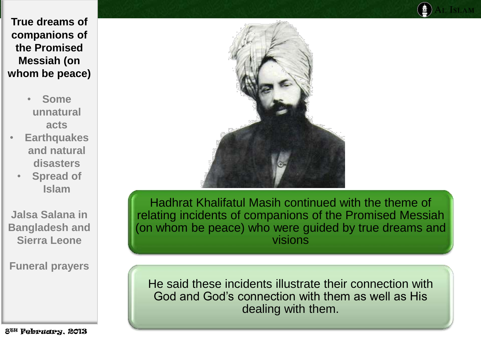- **Some unnatural acts**
- **Earthquakes and natural disasters**
	- **Spread of Islam**

**Jalsa Salana in Bangladesh and Sierra Leone**

**Funeral prayers**

8TH February, 2013



Hadhrat Khalifatul Masih continued with the theme of relating incidents of companions of the Promised Messiah (on whom be peace) who were guided by true dreams and visions

He said these incidents illustrate their connection with God and God's connection with them as well as His dealing with them.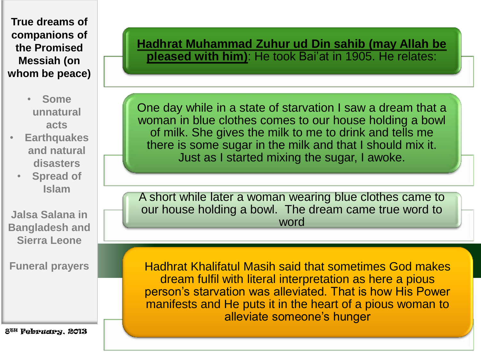

• **Some unnatural acts**

- **Earthquakes and natural disasters**
	- **Spread of Islam**

**Jalsa Salana in Bangladesh and Sierra Leone**

**Funeral prayers**

8TH February, 2013

**Hadhrat Muhammad Zuhur ud Din sahib (may Allah be pleased with him)**: He took Bai'at in 1905. He relates:

One day while in a state of starvation I saw a dream that a woman in blue clothes comes to our house holding a bowl of milk. She gives the milk to me to drink and tells me there is some sugar in the milk and that I should mix it. Just as I started mixing the sugar, I awoke.

A short while later a woman wearing blue clothes came to our house holding a bowl. The dream came true word to word

Hadhrat Khalifatul Masih said that sometimes God makes dream fulfil with literal interpretation as here a pious person's starvation was alleviated. That is how His Power manifests and He puts it in the heart of a pious woman to alleviate someone's hunger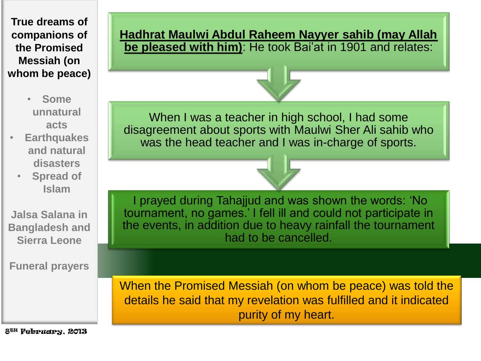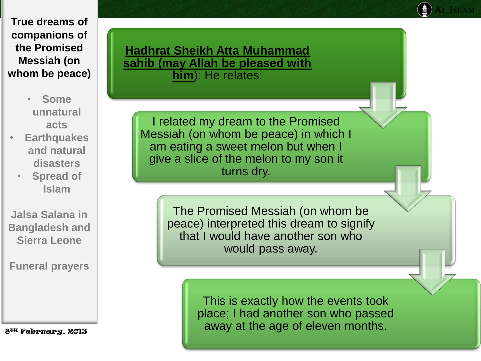- **Some unnatural acts**
- **Earthquakes and natural disasters**
	- **Spread of Islam**

**Jalsa Salana in Bangladesh and Sierra Leone**

**Funeral prayers**

8TH February, 2013

**Hadhrat Sheikh Atta Muhammad sahib (may Allah be pleased with him**): He relates:

I related my dream to the Promised Messiah (on whom be peace) in which I am eating a sweet melon but when I give a slice of the melon to my son it turns dry.

> The Promised Messiah (on whom be peace) interpreted this dream to signify that I would have another son who would pass away.

> > This is exactly how the events took place; I had another son who passed away at the age of eleven months.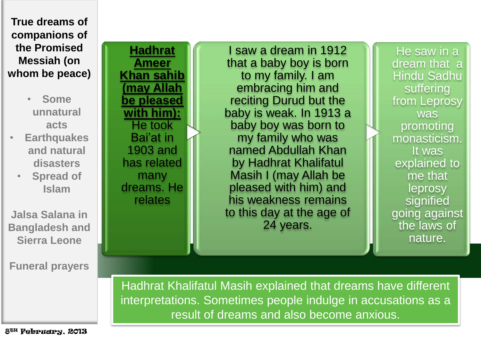> • **Some unnatural acts**

• **Earthquakes and natural disasters**

• **Spread of Islam** 

**Jalsa Salana in Bangladesh and Sierra Leone**

**Funeral prayers**

**Hadhrat Ameer Khan sahib (may Allah be pleased with him):**  He took Bai'at in 1903 and has related many dreams. He relates

I saw a dream in 1912 that a baby boy is born to my family. I am embracing him and reciting Durud but the baby is weak. In 1913 a baby boy was born to my family who was named Abdullah Khan by Hadhrat Khalifatul Masih I (may Allah be pleased with him) and his weakness remains to this day at the age of 24 years.

He saw in a dream that a Hindu Sadhu suffering from Leprosy was promoting monasticism. It was explained to me that leprosy signified going against the laws of nature.

Hadhrat Khalifatul Masih explained that dreams have different interpretations. Sometimes people indulge in accusations as a result of dreams and also become anxious.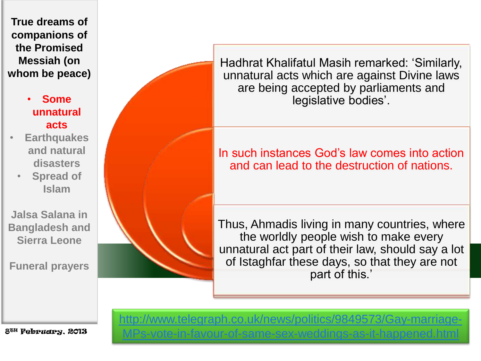## • **Some unnatural acts**

- **Earthquakes and natural disasters**
	- **Spread of Islam**

**Jalsa Salana in Bangladesh and Sierra Leone**

**Funeral prayers**

Hadhrat Khalifatul Masih remarked: 'Similarly, unnatural acts which are against Divine laws are being accepted by parliaments and legislative bodies'.

In such instances God's law comes into action and can lead to the destruction of nations.

Thus, Ahmadis living in many countries, where the worldly people wish to make every unnatural act part of their law, should say a lot of Istaghfar these days, so that they are not part of this.'

8TH February, 2013

[http://www.telegraph.co.uk/news/politics/9849573/Gay-marriage-](http://www.telegraph.co.uk/news/politics/9849573/Gay-marriage-MPs-vote-in-favour-of-same-sex-weddings-as-it-happened.html)[MPs-vote-in-favour-of-same-sex-weddings-as-it-happened.html](http://www.telegraph.co.uk/news/politics/9849573/Gay-marriage-MPs-vote-in-favour-of-same-sex-weddings-as-it-happened.html)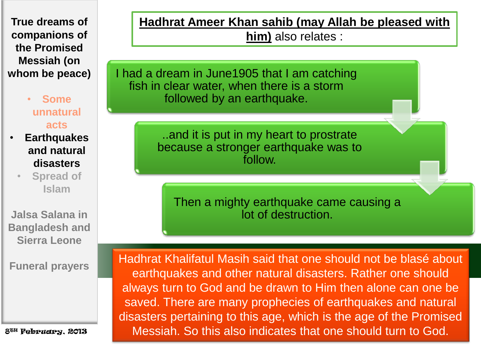> • **Some unnatural acts**

• **Earthquakes and natural disasters**

> • **Spread of Islam**

**Jalsa Salana in Bangladesh and Sierra Leone**

**Funeral prayers**

8TH February, 2013

**Hadhrat Ameer Khan sahib (may Allah be pleased with** 

**him)** also relates :

I had a dream in June1905 that I am catching fish in clear water, when there is a storm followed by an earthquake.

> ..and it is put in my heart to prostrate because a stronger earthquake was to follow.

Then a mighty earthquake came causing a lot of destruction.

Hadhrat Khalifatul Masih said that one should not be blasé about earthquakes and other natural disasters. Rather one should always turn to God and be drawn to Him then alone can one be saved. There are many prophecies of earthquakes and natural disasters pertaining to this age, which is the age of the Promised Messiah. So this also indicates that one should turn to God.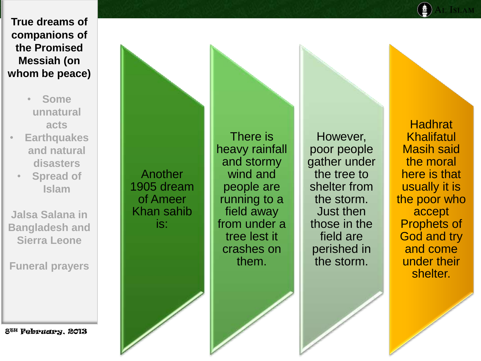- **Some unnatural acts**
- **Earthquakes and natural disasters**
	- **Spread of Islam**

**Jalsa Salana in Bangladesh and Sierra Leone**

**Funeral prayers**

8TH February, 2013

Another 1905 dream of Ameer Khan sahib is:

There is heavy rainfall and stormy wind and people are running to a field away from under a tree lest it crashes on them.

However, poor people gather under the tree to shelter from the storm. Just then those in the field are perished in the storm.

**Hadhrat** Khalifatul Masih said the moral here is that usually it is the poor who accept Prophets of God and try and come under their shelter.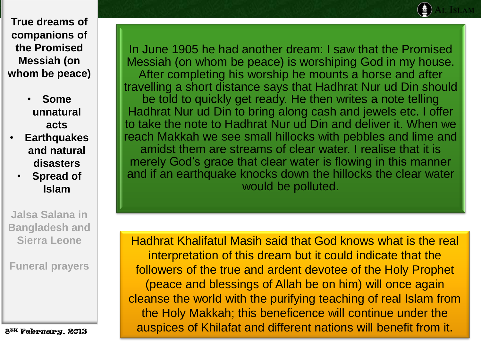- **Some unnatural acts**
- **Earthquakes and natural disasters**
	- **Spread of Islam**

**Jalsa Salana in Bangladesh and Sierra Leone**

**Funeral prayers**

8TH February, 2013

In June 1905 he had another dream: I saw that the Promised Messiah (on whom be peace) is worshiping God in my house. After completing his worship he mounts a horse and after travelling a short distance says that Hadhrat Nur ud Din should be told to quickly get ready. He then writes a note telling Hadhrat Nur ud Din to bring along cash and jewels etc. I offer to take the note to Hadhrat Nur ud Din and deliver it. When we reach Makkah we see small hillocks with pebbles and lime and amidst them are streams of clear water. I realise that it is merely God's grace that clear water is flowing in this manner and if an earthquake knocks down the hillocks the clear water would be polluted.

Hadhrat Khalifatul Masih said that God knows what is the real interpretation of this dream but it could indicate that the followers of the true and ardent devotee of the Holy Prophet (peace and blessings of Allah be on him) will once again cleanse the world with the purifying teaching of real Islam from the Holy Makkah; this beneficence will continue under the auspices of Khilafat and different nations will benefit from it.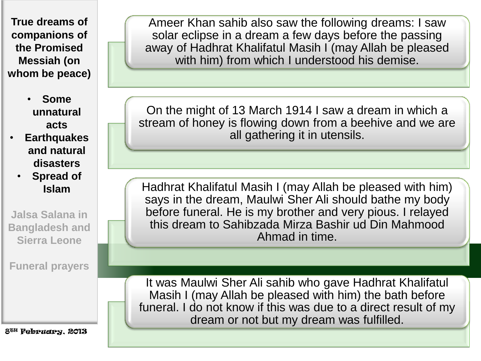> • **Some unnatural acts**

- **Earthquakes and natural disasters**
	- **Spread of Islam**

**Jalsa Salana in Bangladesh and Sierra Leone**

**Funeral prayers**

8TH February, 2013

Ameer Khan sahib also saw the following dreams: I saw solar eclipse in a dream a few days before the passing away of Hadhrat Khalifatul Masih I (may Allah be pleased with him) from which I understood his demise.

On the might of 13 March 1914 I saw a dream in which a stream of honey is flowing down from a beehive and we are all gathering it in utensils.

Hadhrat Khalifatul Masih I (may Allah be pleased with him) says in the dream, Maulwi Sher Ali should bathe my body before funeral. He is my brother and very pious. I relayed this dream to Sahibzada Mirza Bashir ud Din Mahmood Ahmad in time.

It was Maulwi Sher Ali sahib who gave Hadhrat Khalifatul Masih I (may Allah be pleased with him) the bath before funeral. I do not know if this was due to a direct result of my dream or not but my dream was fulfilled.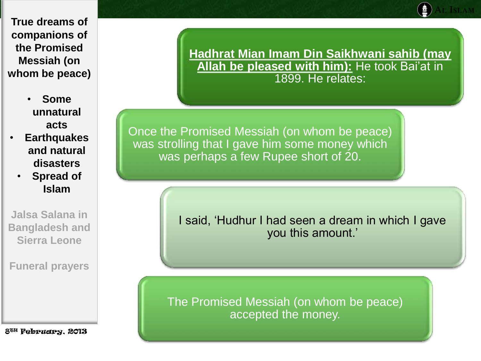- **Some unnatural acts**
- **Earthquakes and natural disasters**
	- **Spread of Islam**

**Jalsa Salana in Bangladesh and Sierra Leone**

**Funeral prayers**

8TH February, 2013

**Hadhrat Mian Imam Din Saikhwani sahib (may Allah be pleased with him):** He took Bai'at in 1899. He relates:

Once the Promised Messiah (on whom be peace) was strolling that I gave him some money which was perhaps a few Rupee short of 20.

> I said, 'Hudhur I had seen a dream in which I gave you this amount.'

The Promised Messiah (on whom be peace) accepted the money.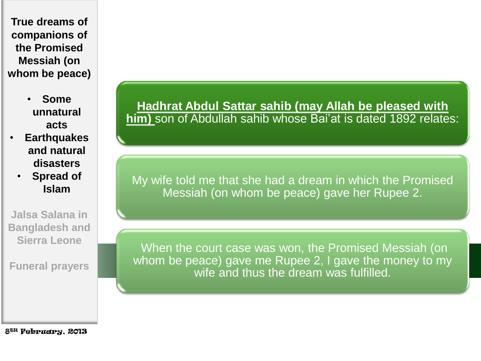- **Some unnatural acts**
- **Earthquakes and natural disasters**
	- **Spread of Islam**

**Jalsa Salana in Bangladesh and Sierra Leone**

**Funeral prayers**

**Hadhrat Abdul Sattar sahib (may Allah be pleased with him)** son of Abdullah sahib whose Bai'at is dated 1892 relates:

My wife told me that she had a dream in which the Promised Messiah (on whom be peace) gave her Rupee 2.

When the court case was won, the Promised Messiah (on whom be peace) gave me Rupee 2, I gave the money to my wife and thus the dream was fulfilled.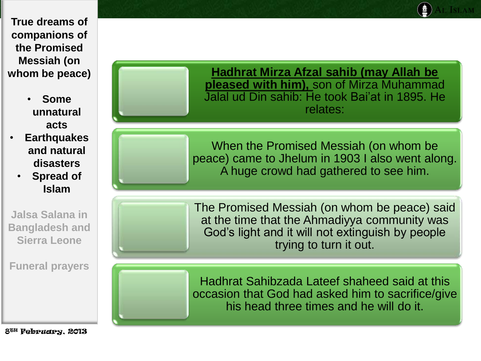- **Some unnatural acts**
- **Earthquakes and natural disasters**
	- **Spread of Islam**

**Jalsa Salana in Bangladesh and Sierra Leone**

**Funeral prayers**

**Hadhrat Mirza Afzal sahib (may Allah be pleased with him),** son of Mirza Muhammad Jalal ud Din sahib: He took Bai'at in 1895. He relates:

When the Promised Messiah (on whom be peace) came to Jhelum in 1903 I also went along. A huge crowd had gathered to see him.

The Promised Messiah (on whom be peace) said at the time that the Ahmadiyya community was God's light and it will not extinguish by people trying to turn it out.

Hadhrat Sahibzada Lateef shaheed said at this occasion that God had asked him to sacrifice/give his head three times and he will do it.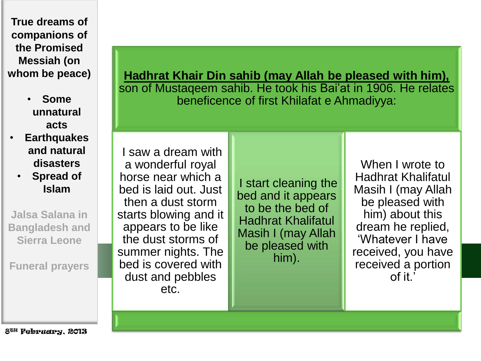- **Some unnatural acts**
- **Earthquakes and natural disasters**
	- **Spread of Islam**

**Jalsa Salana in Bangladesh and Sierra Leone**

**Funeral prayers**

**Hadhrat Khair Din sahib (may Allah be pleased with him),**  son of Mustaqeem sahib. He took his Bai'at in 1906. He relates beneficence of first Khilafat e Ahmadiyya:

I saw a dream with a wonderful royal horse near which a bed is laid out. Just then a dust storm starts blowing and it appears to be like the dust storms of summer nights. The bed is covered with dust and pebbles etc.

I start cleaning the bed and it appears to be the bed of Hadhrat Khalifatul Masih I (may Allah be pleased with him).

When I wrote to Hadhrat Khalifatul Masih I (may Allah be pleased with him) about this dream he replied, 'Whatever I have received, you have received a portion of it.'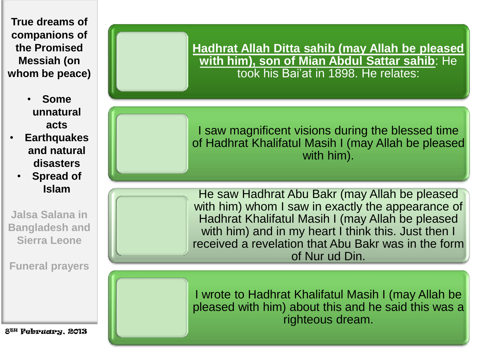- **Some unnatural acts**
- **Earthquakes and natural disasters**
	- **Spread of Islam**

**Jalsa Salana in Bangladesh and Sierra Leone**

**Funeral prayers**

8TH February, 2013

**Hadhrat Allah Ditta sahib (may Allah be pleased with him), son of Mian Abdul Sattar sahib**: He took his Bai'at in 1898. He relates:

I saw magnificent visions during the blessed time of Hadhrat Khalifatul Masih I (may Allah be pleased with him).

He saw Hadhrat Abu Bakr (may Allah be pleased with him) whom I saw in exactly the appearance of Hadhrat Khalifatul Masih I (may Allah be pleased with him) and in my heart I think this. Just then I received a revelation that Abu Bakr was in the form of Nur ud Din.

I wrote to Hadhrat Khalifatul Masih I (may Allah be pleased with him) about this and he said this was a righteous dream.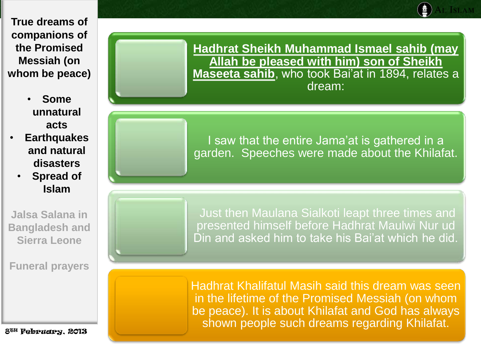- **Some unnatural acts**
- **Earthquakes and natural disasters**
	- **Spread of Islam**

**Jalsa Salana in Bangladesh and Sierra Leone**

**Funeral prayers**

8TH February, 2013

**Hadhrat Sheikh Muhammad Ismael sahib (may Allah be pleased with him) son of Sheikh Maseeta sahib**, who took Bai'at in 1894, relates a dream:

I saw that the entire Jama'at is gathered in a garden. Speeches were made about the Khilafat.

Just then Maulana Sialkoti leapt three times and presented himself before Hadhrat Maulwi Nur ud Din and asked him to take his Bai'at which he did.

Hadhrat Khalifatul Masih said this dream was seen in the lifetime of the Promised Messiah (on whom be peace). It is about Khilafat and God has always shown people such dreams regarding Khilafat.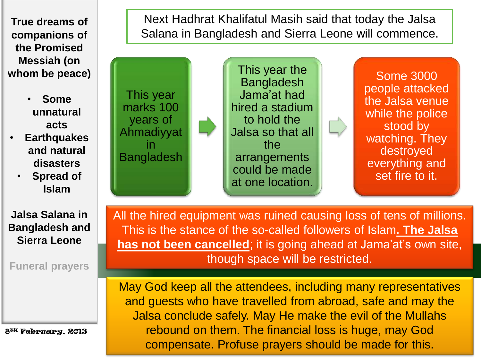

• **Some unnatural acts**

- **Earthquakes and natural disasters**
	- **Spread of Islam**

**Jalsa Salana in Bangladesh and Sierra Leone**

**Funeral prayers**

8TH February, 2013

Next Hadhrat Khalifatul Masih said that today the Jalsa Salana in Bangladesh and Sierra Leone will commence.



All the hired equipment was ruined causing loss of tens of millions. This is the stance of the so-called followers of Islam**. The Jalsa has not been cancelled**; it is going ahead at Jama'at's own site, though space will be restricted.

May God keep all the attendees, including many representatives and guests who have travelled from abroad, safe and may the Jalsa conclude safely. May He make the evil of the Mullahs rebound on them. The financial loss is huge, may God compensate. Profuse prayers should be made for this.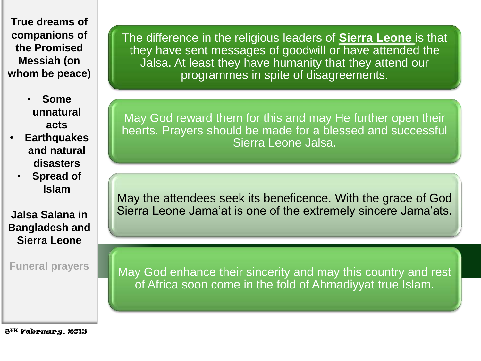- **Some unnatural acts**
- **Earthquakes and natural disasters**
	- **Spread of Islam**

**Jalsa Salana in Bangladesh and Sierra Leone**

**Funeral prayers**

The difference in the religious leaders of **Sierra Leone** is that they have sent messages of goodwill or have attended the Jalsa. At least they have humanity that they attend our programmes in spite of disagreements.

May God reward them for this and may He further open their hearts. Prayers should be made for a blessed and successful Sierra Leone Jalsa.

May the attendees seek its beneficence. With the grace of God Sierra Leone Jama'at is one of the extremely sincere Jama'ats.

May God enhance their sincerity and may this country and rest of Africa soon come in the fold of Ahmadiyyat true Islam.